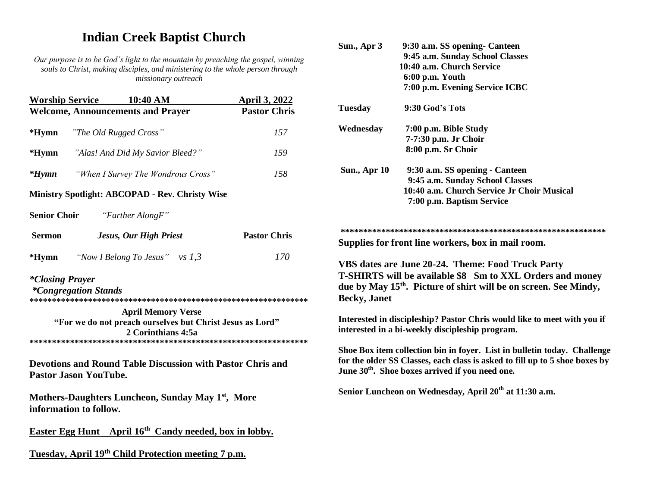## **Indian Creek Baptist Church**

*Our purpose is to be God's light to the mountain by preaching the gospel, winning souls to Christ, making disciples, and ministering to the whole person through missionary outreach*

| <b>Worship Service</b> | 10:40 AM                                                                                                     | <b>April 3, 2022</b> |
|------------------------|--------------------------------------------------------------------------------------------------------------|----------------------|
|                        | <b>Welcome, Announcements and Prayer</b>                                                                     | <b>Pastor Chris</b>  |
| $*Hymn$                | "The Old Rugged Cross"                                                                                       | 157                  |
| *Hymn                  | "Alas! And Did My Savior Bleed?"                                                                             | 159                  |
| $*Hymn$                | "When I Survey The Wondrous Cross"                                                                           | 158                  |
|                        | <b>Ministry Spotlight: ABCOPAD - Rev. Christy Wise</b>                                                       |                      |
| <b>Senior Choir</b>    | "Farther AlongF"                                                                                             |                      |
| <b>Sermon</b>          | Jesus, Our High Priest                                                                                       | <b>Pastor Chris</b>  |
| *Hymn                  | "Now I Belong To Jesus" vs $1,3$                                                                             | 170                  |
| <i>*Closing Prayer</i> | <i>*Congregation Stands</i>                                                                                  |                      |
|                        | <b>April Memory Verse</b><br>"For we do not preach ourselves but Christ Jesus as Lord"<br>2 Corinthians 4:5a |                      |
|                        | <b>Devotions and Round Table Discussion with Pastor Chris and</b><br><b>Pastor Jason YouTube.</b>            |                      |
|                        | Mothers-Daughters Luncheon, Sunday May 1 <sup>st</sup> , More<br>information to follow.                      |                      |
|                        | <b>Easter Egg Hunt</b> April 16 <sup>th</sup> Candy needed, box in lobby.                                    |                      |

**Tuesday, April 19th Child Protection meeting 7 p.m.**

|    | Sun., Apr 3                                                                                                                                                                                                            | 9:30 a.m. SS opening- Canteen                                                                                                                                                                                          |  |  |
|----|------------------------------------------------------------------------------------------------------------------------------------------------------------------------------------------------------------------------|------------------------------------------------------------------------------------------------------------------------------------------------------------------------------------------------------------------------|--|--|
| ιg |                                                                                                                                                                                                                        | 9:45 a.m. Sunday School Classes                                                                                                                                                                                        |  |  |
|    |                                                                                                                                                                                                                        | 10:40 a.m. Church Service                                                                                                                                                                                              |  |  |
|    |                                                                                                                                                                                                                        | 6:00 p.m. Youth                                                                                                                                                                                                        |  |  |
|    |                                                                                                                                                                                                                        | 7:00 p.m. Evening Service ICBC                                                                                                                                                                                         |  |  |
|    | <b>Tuesday</b>                                                                                                                                                                                                         | 9:30 God's Tots                                                                                                                                                                                                        |  |  |
|    | Wednesday                                                                                                                                                                                                              | 7:00 p.m. Bible Study                                                                                                                                                                                                  |  |  |
|    |                                                                                                                                                                                                                        | 7-7:30 p.m. Jr Choir                                                                                                                                                                                                   |  |  |
|    |                                                                                                                                                                                                                        | 8:00 p.m. Sr Choir                                                                                                                                                                                                     |  |  |
|    | Sun., Apr 10                                                                                                                                                                                                           | 9:30 a.m. SS opening - Canteen                                                                                                                                                                                         |  |  |
|    |                                                                                                                                                                                                                        | 9:45 a.m. Sunday School Classes                                                                                                                                                                                        |  |  |
|    |                                                                                                                                                                                                                        | 10:40 a.m. Church Service Jr Choir Musical                                                                                                                                                                             |  |  |
|    |                                                                                                                                                                                                                        | 7:00 p.m. Baptism Service                                                                                                                                                                                              |  |  |
| ** | VBS dates are June 20-24. Theme: Food Truck Party<br>T-SHIRTS will be available \$8 Sm to XXL Orders and money<br>due by May 15 <sup>th</sup> . Picture of shirt will be on screen. See Mindy,<br><b>Becky</b> , Janet |                                                                                                                                                                                                                        |  |  |
| ** |                                                                                                                                                                                                                        | Interested in discipleship? Pastor Chris would like to meet with you if<br>interested in a bi-weekly discipleship program.                                                                                             |  |  |
|    |                                                                                                                                                                                                                        | Shoe Box item collection bin in foyer. List in bulletin today. Challenge<br>for the older SS Classes, each class is asked to fill up to 5 shoe boxes by<br>June 30 <sup>th</sup> . Shoe boxes arrived if you need one. |  |  |
|    |                                                                                                                                                                                                                        | Senior Luncheon on Wednesday, April 20 <sup>th</sup> at 11:30 a.m.                                                                                                                                                     |  |  |
|    |                                                                                                                                                                                                                        |                                                                                                                                                                                                                        |  |  |
|    |                                                                                                                                                                                                                        |                                                                                                                                                                                                                        |  |  |
|    |                                                                                                                                                                                                                        |                                                                                                                                                                                                                        |  |  |
|    |                                                                                                                                                                                                                        |                                                                                                                                                                                                                        |  |  |